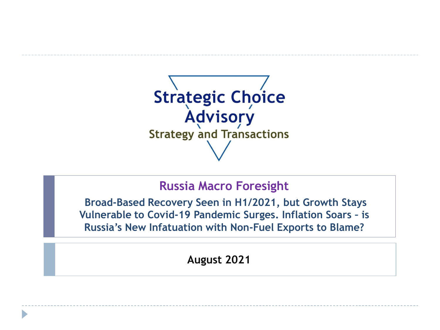

## **Russia Macro Foresight**

**Broad-Based Recovery Seen in H1/2021, but Growth Stays Vulnerable to Covid-19 Pandemic Surges. Inflation Soars – is Russia's New Infatuation with Non-Fuel Exports to Blame?**

**August 2021**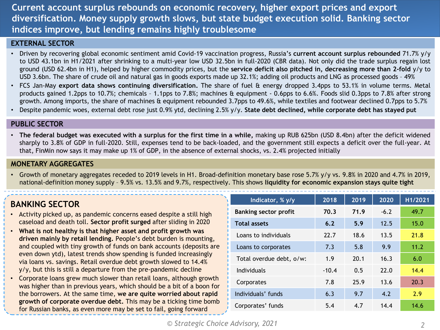**Current account surplus rebounds on economic recovery, higher export prices and export diversification. Money supply growth slows, but state budget execution solid. Banking sector indices improve, but lending remains highly troublesome**

#### **EXTERNAL SECTOR**

- Driven by recovering global economic sentiment amid Covid-19 vaccination progress, Russia's **current account surplus rebounded** 71.7% y/y to USD 43.1bn in H1/2021 after shrinking to a multi-year low USD 32.5bn in full-2020 (CBR data). Not only did the trade surplus regain lost ground (USD 62.4bn in H1), helped by higher commodity prices, but the **service deficit also pitched in, decreasing more than 2-fold** y/y to USD 3.6bn. The share of crude oil and natural gas in goods exports made up 32.1%; adding oil products and LNG as processed goods – 49%
- FCS Jan-May **export data shows continuing diversification.** The share of fuel & energy dropped 3.4pps to 53.1% in volume terms. Metal products gained 1.2pps to 10.7%; chemicals – 1.1pps to 7.8%; machines & equipment - 0.6pps to 6.6%. Foods slid 0.3pps to 7.8% after strong growth. Among imports, the share of machines & equipment rebounded 3.7pps to 49.6%, while textiles and footwear declined 0.7pps to 5.7%
- Despite pandemic woes, external debt rose just 0.9% ytd, declining 2.5% y/y. **State debt declined, while corporate debt has stayed put**

#### **PUBLIC SECTOR**

• The federal budget was executed with a surplus for the first time in a while, making up RUB 625bn (USD 8.4bn) after the deficit widened sharply to 3.8% of GDP in full-2020. Still, expenses tend to be back-loaded, and the government still expects a deficit over the full-year. At that, FinMin now says it may make up 1% of GDP, in the absence of external shocks, vs. 2.4% projected initially

### **MONETARY AGGREGATES**

• Growth of monetary aggregates receded to 2019 levels in H1. Broad-definition monetary base rose 5.7% y/y vs. 9.8% in 2020 and 4.7% in 2019, national-definition money supply – 9.5% vs. 13.5% and 9.7%, respectively. This shows **liquidity for economic expansion stays quite tight**

## **BANKING SECTOR**

- Activity picked up, as pandemic concerns eased despite a still high caseload and death toll. **Sector profit surged** after sliding in 2020
- **What is not healthy is that higher asset and profit growth was driven mainly by retail lending.** People's debt burden is mounting, and coupled with tiny growth of funds on bank accounts (deposits are even down ytd), latest trends show spending is funded increasingly via loans vs. savings. Retail overdue debt growth slowed to 14.4%  $y/y$ , but this is still a departure from the pre-pandemic decline
- Corporate loans grew much slower than retail loans, although growth was higher than in previous years, which should be a bit of a boon for the borrowers. At the same time, **we are quite worried about rapid growth of corporate overdue debt.** This may be a ticking time bomb for Russian banks, as even more may be set to fail, going forward

| Indicator, % y/y             | 2018    | 2019        | 2020   | H1/2021 |  |
|------------------------------|---------|-------------|--------|---------|--|
| <b>Banking sector profit</b> | 70.3    | 71.9        | $-6.2$ | 49.7    |  |
| <b>Total assets</b>          | 6.2     | 12.5<br>5.9 |        | 15.0    |  |
| Loans to individuals         | 22.7    | 18.6        | 13.5   | 21.8    |  |
| Loans to corporates          | 7.3     | 5.8         | 9.9    | 11.2    |  |
| Total overdue debt, o/w:     | 1.9     | 20.1        | 16.3   | 6.0     |  |
| Individuals                  | $-10.4$ | 0.5         | 22.0   | 14.4    |  |
| Corporates                   | 7.8     | 25.9        | 13.6   | 20.3    |  |
| Individuals' funds           | 6.3     | 9.7         | 4.2    | 2.9     |  |
| Corporates' funds            | 5.4     | 4.7         | 14.4   | 14.6    |  |
|                              |         |             |        |         |  |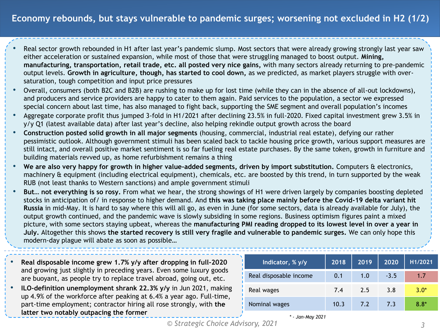- Real sector growth rebounded in H1 after last year's pandemic slump. Most sectors that were already growing strongly last year saw either acceleration or sustained expansion, while most of those that were struggling managed to boost output. **Mining, manufacturing, transportation, retail trade, etc. all posted very nice gains,** with many sectors already returning to pre-pandemic output levels. **Growth in agriculture, though, has started to cool down,** as we predicted, as market players struggle with oversaturation, tough competition and input price pressures
- Overall, consumers (both B2C and B2B) are rushing to make up for lost time (while they can in the absence of all-out lockdowns), and producers and service providers are happy to cater to them again. Paid services to the population, a sector we expressed special concern about last time, has also managed to fight back, supporting the SME segment and overall population's incomes
- Aggregate corporate profit thus jumped 3-fold in H1/2021 after declining 23.5% in full-2020. Fixed capital investment grew 3.5% in y/y Q1 (latest available data) after last year's decline, also helping rekindle output growth across the board
- **Construction posted solid growth in all major segments** (housing, commercial, industrial real estate), defying our rather pessimistic outlook. Although government stimuli has been scaled back to tackle housing price growth, various support measures are still intact, and overall positive market sentiment is so far fueling real estate purchases. By the same token, growth in furniture and building materials revved up, as home refurbishment remains a thing
- **We are also very happy for growth in higher value-added segments, driven by import substitution.** Computers & electronics, machinery & equipment (including electrical equipment), chemicals, etc. are boosted by this trend, in turn supported by the weak RUB (not least thanks to Western sanctions) and ample government stimuli
- **But… not everything is so rosy.** From what we hear, the strong showings of H1 were driven largely by companies boosting depleted stocks in anticipation of/ in response to higher demand. And **this was taking place mainly before the Covid-19 delta variant hit Russia** in mid-May. It is hard to say where this will all go, as even in June (for some sectors, data is already available for July), the output growth continued, and the pandemic wave is slowly subsiding in some regions. Business optimism figures paint a mixed picture, with some sectors staying upbeat, whereas the **manufacturing PMI reading dropped to its lowest level in over a year in July.** Altogether this shows **the started recovery is still very fragile and vulnerable to pandemic surges.** We can only hope this modern-day plague will abate as soon as possible…
- **Real disposable income grew 1.7% y/y after dropping in full-2020**  and growing just slightly in preceding years. Even some luxury goods are buoyant, as people try to replace travel abroad, going out, etc.
- **ILO-definition unemployment shrank 22.3% y/y** in Jun 2021, making up 4.9% of the workforce after peaking at 6.4% a year ago. Full-time, part-time employment; contractor hiring all rose strongly, with **the latter two notably outpacing the former**

| Indicator, % y/y       | 2018 | 2019 | 2020   | H1/2021 |
|------------------------|------|------|--------|---------|
| Real disposable income | 0.1  | 1.0  | $-3.5$ | 1.7     |
| Real wages             | 7.4  | 2.5  | 3.8    | $3.0*$  |
| Nominal wages          | 10.3 | 7.2  | 7.3    | $8.8*$  |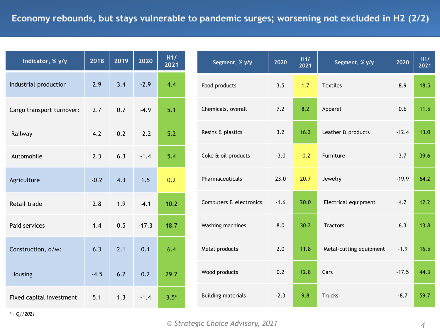| Indicator, % y/y          | 2019<br>2018 |               | 2020    | H1/<br>2021 |  |
|---------------------------|--------------|---------------|---------|-------------|--|
| Industrial production     | 2.9          | 3.4           | $-2.9$  | 4.4         |  |
| Cargo transport turnover: | 2.7          | 0.7           | $-4.9$  | 5.1         |  |
| Railway                   | 4.2          | 0.2           | $-2.2$  | 5.2         |  |
| Automobile                | 2.3          | 6.3<br>$-1.4$ |         | 5.4         |  |
| Agriculture               | $-0.2$       | 4.3           | 1.5     | 0.2         |  |
| Retail trade              | 2.8          | 1.9           | $-4.1$  | 10.2        |  |
| Paid services             | 1.4          | 0.5           | $-17.3$ | 18.7        |  |
| Construction, o/w:        | 6.3          | 2.1           | 0.1     | 6.4         |  |
| Housing                   | $-4.5$       | 6.2           | 0.2     | 29.7        |  |
| Fixed capital investment  | 5.1          | 1.3           | $-1.4$  | $3.5*$      |  |

| Segment, % y/y            | 2020   | H1/<br>2021 | Segment, % y/y          | 2020    | H1/<br>2021 |
|---------------------------|--------|-------------|-------------------------|---------|-------------|
| Food products             | 3.5    | 1.7         | <b>Textiles</b>         | 8.9     | 18.5        |
| Chemicals, overall        | 7.2    | 8.2         | Apparel                 | 0.6     | 11.5        |
| Resins & plastics         | 3.2    | 16.2        | Leather & products      | $-12.4$ | 13.0        |
| Coke & oil products       | $-3.0$ | $-0.2$      | Furniture               | 3.7     | 39.6        |
| Pharmaceuticals           | 23.0   | 20.7        | Jewelry                 | $-19.9$ | 64.2        |
| Computers & electronics   | $-1.6$ | 20.0        | Electrical equipment    | 4.2     | 12.2        |
| Washing machines          | 8.0    | 30.2        | <b>Tractors</b>         | 6.3     | 13.8        |
| Metal products            | 2.0    | 11.8        | Metal-cutting equipment | $-1.9$  | 16.5        |
| Wood products             | 0.2    | 12.8        | Cars                    | $-17.5$ | 44.3        |
| <b>Building materials</b> | $-2.3$ | 9.8         | <b>Trucks</b>           | $-8.7$  | 59.7        |

*\* - Q1/2021*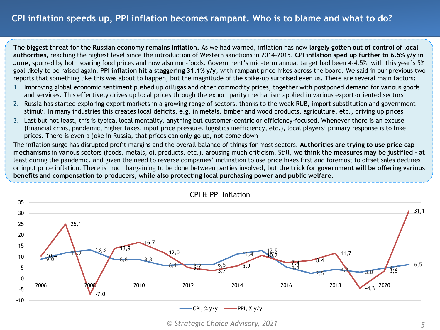## **CPI inflation speeds up, PPI inflation becomes rampant. Who is to blame and what to do?**

**The biggest threat for the Russian economy remains inflation.** As we had warned, inflation has now **largely gotten out of control of local authorities,** reaching the highest level since the introduction of Western sanctions in 2014-2015. **CPI inflation sped up further to 6.5% y/y in June,** spurred by both soaring food prices and now also non-foods. Government's mid-term annual target had been 4-4.5%, with this year's 5% goal likely to be raised again. **PPI inflation hit a staggering 31.1% y/y**, with rampant price hikes across the board. We said in our previous two reports that something like this was about to happen, but the magnitude of the spike-up surprised even us. There are several main factors:

- 1. Improving global economic sentiment pushed up oil&gas and other commodity prices, together with postponed demand for various goods and services. This effectively drives up local prices through the export parity mechanism applied in various export-oriented sectors
- 2. Russia has started exploring export markets in a growing range of sectors, thanks to the weak RUB, import substitution and government stimuli. In many industries this creates local deficits, e.g. in metals, timber and wood products, agriculture, etc., driving up prices
- 3. Last but not least, this is typical local mentality, anything but customer-centric or efficiency-focused. Whenever there is an excuse (financial crisis, pandemic, higher taxes, input price pressure, logistics inefficiency, etc.), local players' primary response is to hike prices. There is even a joke in Russia, that prices can only go up, not come down

The inflation surge has disrupted profit margins and the overall balance of things for most sectors. **Authorities are trying to use price cap mechanisms** in various sectors (foods, metals, oil products, etc.), arousing much criticism. Still, **we think the measures may be justified -** at least during the pandemic, and given the need to reverse companies' inclination to use price hikes first and foremost to offset sales declines or input price inflation. There is much bargaining to be done between parties involved, but **the trick for government will be offering various benefits and compensation to producers, while also protecting local purchasing power and public welfare.**